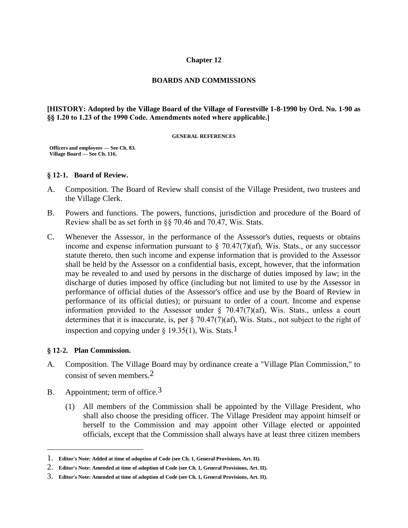#### **Chapter 12**

#### **BOARDS AND COMMISSIONS**

#### **[HISTORY: Adopted by the Village Board of the Village of Forestville 1-8-1990 by Ord. No. 1-90 as §§ 1.20 to 1.23 of the 1990 Code. Amendments noted where applicable.]**

#### **GENERAL REFERENCES**

**Officers and employees — See Ch. 83. Village Board — See Ch. 116.**

### **§ 12-1. Board of Review.**

- A. Composition. The Board of Review shall consist of the Village President, two trustees and the Village Clerk.
- B. Powers and functions. The powers, functions, jurisdiction and procedure of the Board of Review shall be as set forth in §§ 70.46 and 70.47, Wis. Stats.
- C. Whenever the Assessor, in the performance of the Assessor's duties, requests or obtains income and expense information pursuant to  $\S$  70.47(7)(af), Wis. Stats., or any successor statute thereto, then such income and expense information that is provided to the Assessor shall be held by the Assessor on a confidential basis, except, however, that the information may be revealed to and used by persons in the discharge of duties imposed by law; in the discharge of duties imposed by office (including but not limited to use by the Assessor in performance of official duties of the Assessor's office and use by the Board of Review in performance of its official duties); or pursuant to order of a court. Income and expense information provided to the Assessor under  $\S$  70.47(7)(af), Wis. Stats., unless a court determines that it is inaccurate, is, per § 70.47(7)(af), Wis. Stats., not subject to the right of inspection and copying under  $\S$  19.35(1), Wis. Stats.<sup>1</sup>

### **§ 12-2. Plan Commission.**

 $\overline{a}$ 

- A. Composition. The Village Board may by ordinance create a "Village Plan Commission," to consist of seven members.2
- B. Appointment; term of office.  $3$ 
	- (1) All members of the Commission shall be appointed by the Village President, who shall also choose the presiding officer. The Village President may appoint himself or herself to the Commission and may appoint other Village elected or appointed officials, except that the Commission shall always have at least three citizen members

<sup>1.</sup> **Editor's Note: Added at time of adoption of Code (see Ch. 1, General Provisions, Art. II).** 

<sup>2.</sup> **Editor's Note: Amended at time of adoption of Code (see Ch. 1, General Provisions, Art. II).** 

<sup>3.</sup> **Editor's Note: Amended at time of adoption of Code (see Ch. 1, General Provisions, Art. II).**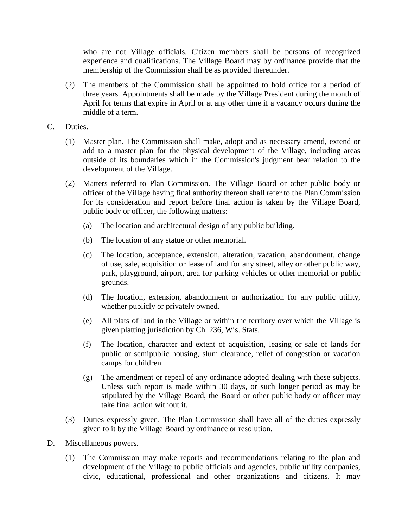who are not Village officials. Citizen members shall be persons of recognized experience and qualifications. The Village Board may by ordinance provide that the membership of the Commission shall be as provided thereunder.

- (2) The members of the Commission shall be appointed to hold office for a period of three years. Appointments shall be made by the Village President during the month of April for terms that expire in April or at any other time if a vacancy occurs during the middle of a term.
- C. Duties.
	- (1) Master plan. The Commission shall make, adopt and as necessary amend, extend or add to a master plan for the physical development of the Village, including areas outside of its boundaries which in the Commission's judgment bear relation to the development of the Village.
	- (2) Matters referred to Plan Commission. The Village Board or other public body or officer of the Village having final authority thereon shall refer to the Plan Commission for its consideration and report before final action is taken by the Village Board, public body or officer, the following matters:
		- (a) The location and architectural design of any public building.
		- (b) The location of any statue or other memorial.
		- (c) The location, acceptance, extension, alteration, vacation, abandonment, change of use, sale, acquisition or lease of land for any street, alley or other public way, park, playground, airport, area for parking vehicles or other memorial or public grounds.
		- (d) The location, extension, abandonment or authorization for any public utility, whether publicly or privately owned.
		- (e) All plats of land in the Village or within the territory over which the Village is given platting jurisdiction by Ch. 236, Wis. Stats.
		- (f) The location, character and extent of acquisition, leasing or sale of lands for public or semipublic housing, slum clearance, relief of congestion or vacation camps for children.
		- (g) The amendment or repeal of any ordinance adopted dealing with these subjects. Unless such report is made within 30 days, or such longer period as may be stipulated by the Village Board, the Board or other public body or officer may take final action without it.
	- (3) Duties expressly given. The Plan Commission shall have all of the duties expressly given to it by the Village Board by ordinance or resolution.
- D. Miscellaneous powers.
	- (1) The Commission may make reports and recommendations relating to the plan and development of the Village to public officials and agencies, public utility companies, civic, educational, professional and other organizations and citizens. It may